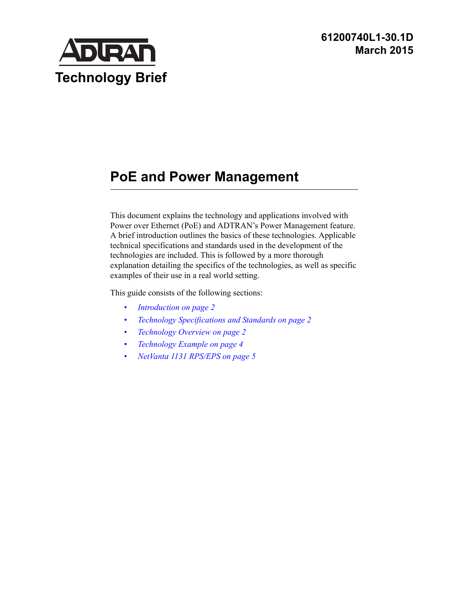

# **PoE and Power Management**

This document explains the technology and applications involved with Power over Ethernet (PoE) and ADTRAN's Power Management feature. A brief introduction outlines the basics of these technologies. Applicable technical specifications and standards used in the development of the technologies are included. This is followed by a more thorough explanation detailing the specifics of the technologies, as well as specific examples of their use in a real world setting.

This guide consists of the following sections:

- *[Introduction on page 2](#page-1-0)*
- *[Technology Specifications and Standards on page 2](#page-1-1)*
- *[Technology Overview on page 2](#page-1-2)*
- *[Technology Example on page 4](#page-3-0)*
- *[NetVanta 1131 RPS/EPS on page 5](#page-4-0)*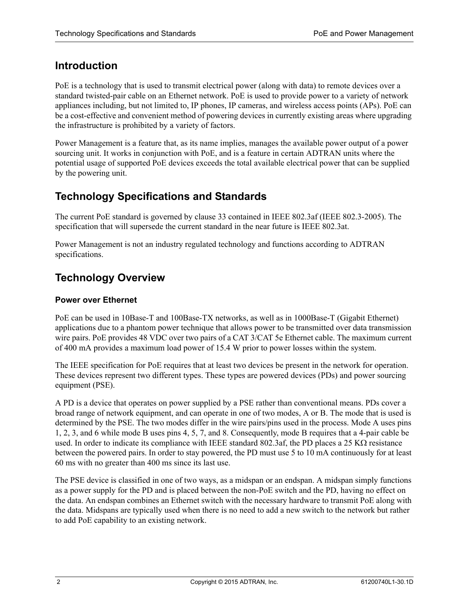## <span id="page-1-0"></span>**Introduction**

PoE is a technology that is used to transmit electrical power (along with data) to remote devices over a standard twisted-pair cable on an Ethernet network. PoE is used to provide power to a variety of network appliances including, but not limited to, IP phones, IP cameras, and wireless access points (APs). PoE can be a cost-effective and convenient method of powering devices in currently existing areas where upgrading the infrastructure is prohibited by a variety of factors.

Power Management is a feature that, as its name implies, manages the available power output of a power sourcing unit. It works in conjunction with PoE, and is a feature in certain ADTRAN units where the potential usage of supported PoE devices exceeds the total available electrical power that can be supplied by the powering unit.

## <span id="page-1-1"></span>**Technology Specifications and Standards**

The current PoE standard is governed by clause 33 contained in IEEE 802.3af (IEEE 802.3-2005). The specification that will supersede the current standard in the near future is IEEE 802.3at.

Power Management is not an industry regulated technology and functions according to ADTRAN specifications.

## <span id="page-1-2"></span>**Technology Overview**

#### **Power over Ethernet**

PoE can be used in 10Base-T and 100Base-TX networks, as well as in 1000Base-T (Gigabit Ethernet) applications due to a phantom power technique that allows power to be transmitted over data transmission wire pairs. PoE provides 48 VDC over two pairs of a CAT 3/CAT 5e Ethernet cable. The maximum current of 400 mA provides a maximum load power of 15.4 W prior to power losses within the system.

The IEEE specification for PoE requires that at least two devices be present in the network for operation. These devices represent two different types. These types are powered devices (PDs) and power sourcing equipment (PSE).

A PD is a device that operates on power supplied by a PSE rather than conventional means. PDs cover a broad range of network equipment, and can operate in one of two modes, A or B. The mode that is used is determined by the PSE. The two modes differ in the wire pairs/pins used in the process. Mode A uses pins 1, 2, 3, and 6 while mode B uses pins 4, 5, 7, and 8. Consequently, mode B requires that a 4-pair cable be used. In order to indicate its compliance with IEEE standard 802.3af, the PD places a 25 K $\Omega$  resistance between the powered pairs. In order to stay powered, the PD must use 5 to 10 mA continuously for at least 60 ms with no greater than 400 ms since its last use.

The PSE device is classified in one of two ways, as a midspan or an endspan. A midspan simply functions as a power supply for the PD and is placed between the non-PoE switch and the PD, having no effect on the data. An endspan combines an Ethernet switch with the necessary hardware to transmit PoE along with the data. Midspans are typically used when there is no need to add a new switch to the network but rather to add PoE capability to an existing network.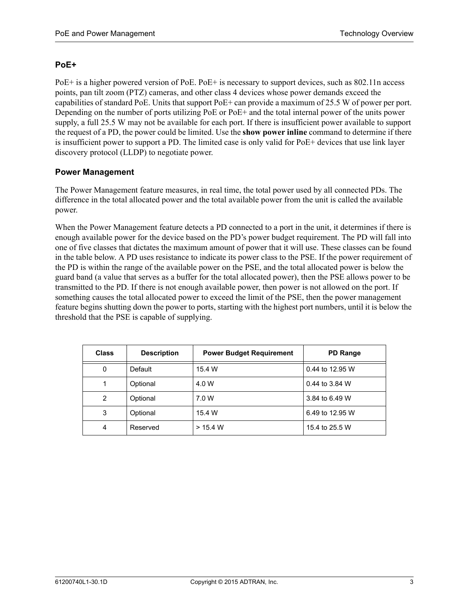### **PoE+**

PoE+ is a higher powered version of PoE. PoE+ is necessary to support devices, such as 802.11n access points, pan tilt zoom (PTZ) cameras, and other class 4 devices whose power demands exceed the capabilities of standard PoE. Units that support PoE+ can provide a maximum of 25.5 W of power per port. Depending on the number of ports utilizing PoE or PoE+ and the total internal power of the units power supply, a full 25.5 W may not be available for each port. If there is insufficient power available to support the request of a PD, the power could be limited. Use the **show power inline** command to determine if there is insufficient power to support a PD. The limited case is only valid for PoE+ devices that use link layer discovery protocol (LLDP) to negotiate power.

#### **Power Management**

The Power Management feature measures, in real time, the total power used by all connected PDs. The difference in the total allocated power and the total available power from the unit is called the available power.

When the Power Management feature detects a PD connected to a port in the unit, it determines if there is enough available power for the device based on the PD's power budget requirement. The PD will fall into one of five classes that dictates the maximum amount of power that it will use. These classes can be found in the table below. A PD uses resistance to indicate its power class to the PSE. If the power requirement of the PD is within the range of the available power on the PSE, and the total allocated power is below the guard band (a value that serves as a buffer for the total allocated power), then the PSE allows power to be transmitted to the PD. If there is not enough available power, then power is not allowed on the port. If something causes the total allocated power to exceed the limit of the PSE, then the power management feature begins shutting down the power to ports, starting with the highest port numbers, until it is below the threshold that the PSE is capable of supplying.

| <b>Class</b>   | <b>Description</b> | <b>Power Budget Requirement</b> | <b>PD Range</b> |  |
|----------------|--------------------|---------------------------------|-----------------|--|
| 0              | Default            | 15.4 W                          | 0.44 to 12.95 W |  |
|                | Optional           | 4.0 W                           | 0.44 to 3.84 W  |  |
| $\overline{2}$ | Optional           | 7.0 W                           | 3.84 to 6.49 W  |  |
| 3              | Optional           | 15.4 W                          | 6.49 to 12.95 W |  |
| 4              | Reserved           | > 15.4 W                        | 15.4 to 25.5 W  |  |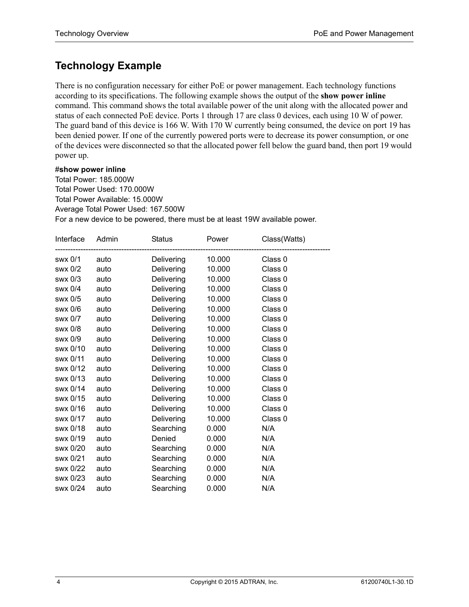## <span id="page-3-0"></span>**Technology Example**

There is no configuration necessary for either PoE or power management. Each technology functions according to its specifications. The following example shows the output of the **show power inline** command. This command shows the total available power of the unit along with the allocated power and status of each connected PoE device. Ports 1 through 17 are class 0 devices, each using 10 W of power. The guard band of this device is 166 W. With 170 W currently being consumed, the device on port 19 has been denied power. If one of the currently powered ports were to decrease its power consumption, or one of the devices were disconnected so that the allocated power fell below the guard band, then port 19 would power up.

#### #**show power inline**

Total Power: 185.000W Total Power Used: 170.000W Total Power Available: 15.000W Average Total Power Used: 167.500W For a new device to be powered, there must be at least 19W available power.

| Interface Admin |      | <b>Status</b> | Power  | Class(Watts) |
|-----------------|------|---------------|--------|--------------|
| swx 0/1         | auto | Delivering    | 10.000 | Class 0      |
| swx 0/2         | auto | Delivering    | 10.000 | Class 0      |
| swx 0/3         | auto | Delivering    | 10.000 | Class 0      |
| swx 0/4         | auto | Delivering    | 10.000 | Class 0      |
| swx 0/5         | auto | Delivering    | 10.000 | Class 0      |
| swx 0/6         | auto | Delivering    | 10.000 | Class 0      |
| swx 0/7         | auto | Delivering    | 10.000 | Class 0      |
| swx 0/8         | auto | Delivering    | 10.000 | Class 0      |
| swx 0/9         | auto | Delivering    | 10.000 | Class 0      |
| swx 0/10        | auto | Delivering    | 10.000 | Class 0      |
| swx 0/11        | auto | Delivering    | 10.000 | Class 0      |
| swx 0/12        | auto | Delivering    | 10.000 | Class 0      |
| swx 0/13        | auto | Delivering    | 10.000 | Class 0      |
| swx 0/14        | auto | Delivering    | 10.000 | Class 0      |
| swx 0/15        | auto | Delivering    | 10.000 | Class 0      |
| swx 0/16        | auto | Delivering    | 10.000 | Class 0      |
| swx 0/17        | auto | Delivering    | 10.000 | Class 0      |
| swx 0/18        | auto | Searching     | 0.000  | N/A          |
| swx 0/19        | auto | Denied        | 0.000  | N/A          |
| swx 0/20        | auto | Searching     | 0.000  | N/A          |
| swx 0/21        | auto | Searching     | 0.000  | N/A          |
| swx 0/22        | auto | Searching     | 0.000  | N/A          |
| swx 0/23        | auto | Searching     | 0.000  | N/A          |
| swx 0/24        | auto | Searching     | 0.000  | N/A          |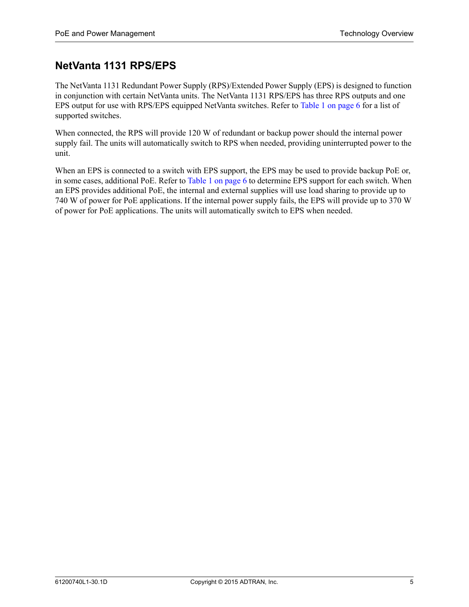## <span id="page-4-0"></span>**NetVanta 1131 RPS/EPS**

The NetVanta 1131 Redundant Power Supply (RPS)/Extended Power Supply (EPS) is designed to function in conjunction with certain NetVanta units. The NetVanta 1131 RPS/EPS has three RPS outputs and one EPS output for use with RPS/EPS equipped NetVanta switches. Refer to Table [1 on page](#page-5-0) 6 for a list of supported switches.

When connected, the RPS will provide 120 W of redundant or backup power should the internal power supply fail. The units will automatically switch to RPS when needed, providing uninterrupted power to the unit.

When an EPS is connected to a switch with EPS support, the EPS may be used to provide backup PoE or, in some cases, additional PoE. Refer to Table [1 on page](#page-5-0) 6 to determine EPS support for each switch. When an EPS provides additional PoE, the internal and external supplies will use load sharing to provide up to 740 W of power for PoE applications. If the internal power supply fails, the EPS will provide up to 370 W of power for PoE applications. The units will automatically switch to EPS when needed.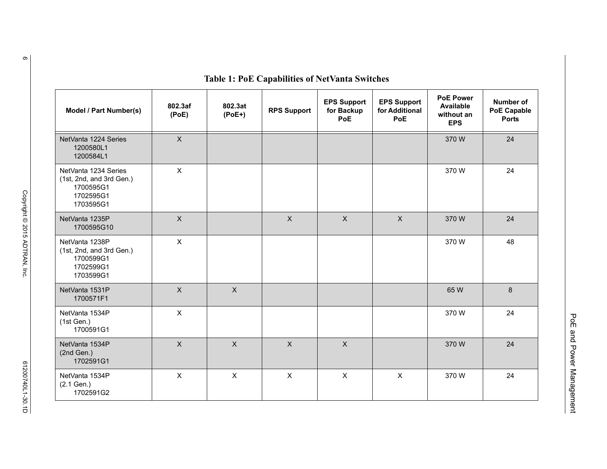<span id="page-5-0"></span>

| Model / Part Number(s)                                                                  | 802.3af<br>(PoE)          | 802.3at<br>$(PoE+)$ | <b>RPS Support</b>        | <b>EPS Support</b><br>for Backup<br>PoE | <b>EPS Support</b><br>for Additional<br><b>PoE</b> | <b>PoE Power</b><br>Available<br>without an<br><b>EPS</b> | Number of<br><b>PoE Capable</b><br><b>Ports</b> |
|-----------------------------------------------------------------------------------------|---------------------------|---------------------|---------------------------|-----------------------------------------|----------------------------------------------------|-----------------------------------------------------------|-------------------------------------------------|
| NetVanta 1224 Series<br>1200580L1<br>1200584L1                                          | $\mathsf{X}$              |                     |                           |                                         |                                                    | 370W                                                      | 24                                              |
| NetVanta 1234 Series<br>(1st, 2nd, and 3rd Gen.)<br>1700595G1<br>1702595G1<br>1703595G1 | $\boldsymbol{\mathsf{X}}$ |                     |                           |                                         |                                                    | 370 W                                                     | 24                                              |
| NetVanta 1235P<br>1700595G10                                                            | $\boldsymbol{\mathsf{X}}$ |                     | $\boldsymbol{\mathsf{X}}$ | $\boldsymbol{\mathsf{X}}$               | $\mathsf X$                                        | 370W                                                      | 24                                              |
| NetVanta 1238P<br>(1st, 2nd, and 3rd Gen.)<br>1700599G1<br>1702599G1<br>1703599G1       | $\boldsymbol{\mathsf{X}}$ |                     |                           |                                         |                                                    | 370 W                                                     | 48                                              |
| NetVanta 1531P<br>1700571F1                                                             | $\mathsf{X}$              | $\mathsf{X}$        |                           |                                         |                                                    | 65 W                                                      | 8                                               |
| NetVanta 1534P<br>(1st Gen.)<br>1700591G1                                               | $\boldsymbol{\mathsf{X}}$ |                     |                           |                                         |                                                    | 370 W                                                     | 24                                              |
| NetVanta 1534P<br>(2nd Gen.)<br>1702591G1                                               | $\boldsymbol{\mathsf{X}}$ | $\mathsf X$         | $\mathsf X$               | $\mathsf X$                             |                                                    | 370W                                                      | 24                                              |
| NetVanta 1534P<br>$(2.1 \text{ Gen.})$<br>1702591G2                                     | $\mathsf X$               | $\pmb{\times}$      | $\pmb{\times}$            | $\pmb{\times}$                          | $\mathsf{X}$                                       | 370 W                                                     | 24                                              |